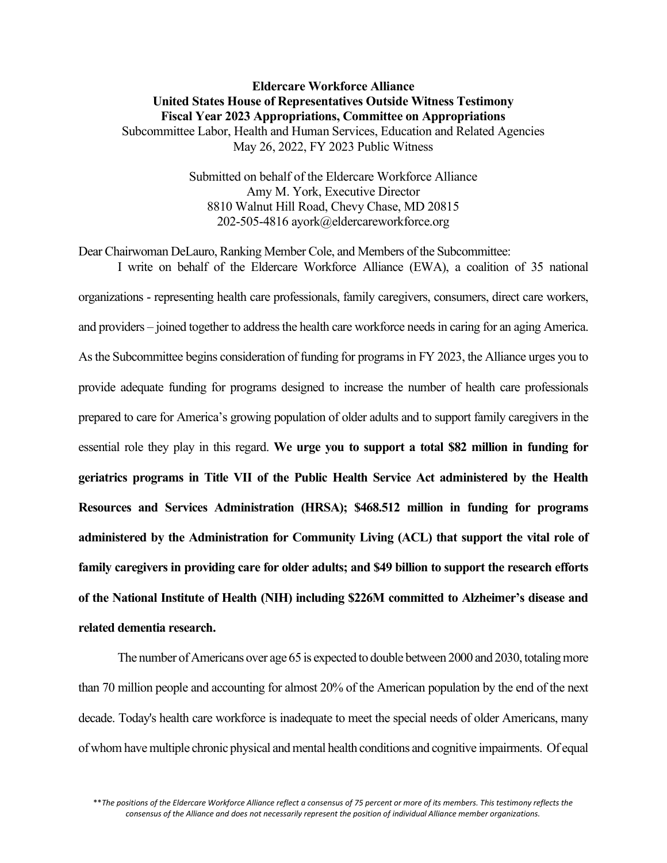## Eldercare Workforce Alliance United States House of Representatives Outside Witness Testimony Fiscal Year 2023 Appropriations, Committee on Appropriations Subcommittee Labor, Health and Human Services, Education and Related Agencies May 26, 2022, FY 2023 Public Witness

Submitted on behalf of the Eldercare Workforce Alliance Amy M. York, Executive Director 8810 Walnut Hill Road, Chevy Chase, MD 20815 202-505-4816 ayork@eldercareworkforce.org

Dear Chairwoman DeLauro, Ranking Member Cole, and Members of the Subcommittee: I write on behalf of the Eldercare Workforce Alliance (EWA), a coalition of 35 national organizations - representing health care professionals, family caregivers, consumers, direct care workers, and providers – joined together to address the health care workforce needs in caring for an aging America. As the Subcommittee begins consideration of funding for programs in FY 2023, the Alliance urges you to provide adequate funding for programs designed to increase the number of health care professionals prepared to care for America's growing population of older adults and to support family caregivers in the essential role they play in this regard. We urge you to support a total \$82 million in funding for geriatrics programs in Title VII of the Public Health Service Act administered by the Health Resources and Services Administration (HRSA); \$468.512 million in funding for programs administered by the Administration for Community Living (ACL) that support the vital role of family caregivers in providing care for older adults; and \$49 billion to support the research efforts of the National Institute of Health (NIH) including \$226M committed to Alzheimer's disease and related dementia research.

The number of Americans over age 65 is expected to double between 2000 and 2030, totaling more than 70 million people and accounting for almost 20% of the American population by the end of the next decade. Today's health care workforce is inadequate to meet the special needs of older Americans, many of whom have multiple chronic physical and mental health conditions and cognitive impairments. Of equal

<sup>\*\*</sup>The positions of the Eldercare Workforce Alliance reflect a consensus of 75 percent or more of its members. This testimony reflects the consensus of the Alliance and does not necessarily represent the position of individual Alliance member organizations.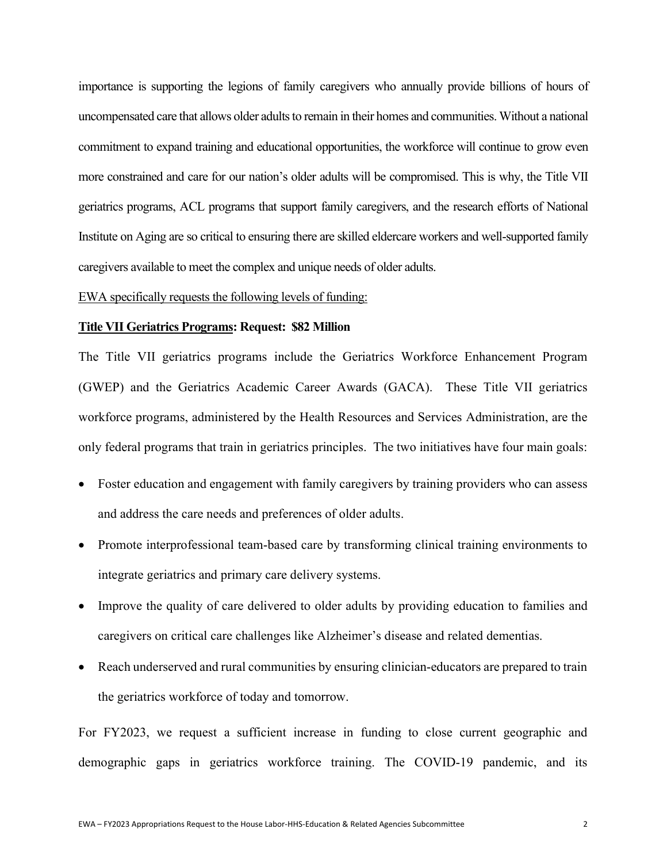importance is supporting the legions of family caregivers who annually provide billions of hours of uncompensated care that allows older adults to remain in their homes and communities. Without a national commitment to expand training and educational opportunities, the workforce will continue to grow even more constrained and care for our nation's older adults will be compromised. This is why, the Title VII geriatrics programs, ACL programs that support family caregivers, and the research efforts of National Institute on Aging are so critical to ensuring there are skilled eldercare workers and well-supported family caregivers available to meet the complex and unique needs of older adults.

### EWA specifically requests the following levels of funding:

### Title VII Geriatrics Programs: Request: \$82 Million

The Title VII geriatrics programs include the Geriatrics Workforce Enhancement Program (GWEP) and the Geriatrics Academic Career Awards (GACA). These Title VII geriatrics workforce programs, administered by the Health Resources and Services Administration, are the only federal programs that train in geriatrics principles. The two initiatives have four main goals:

- Foster education and engagement with family caregivers by training providers who can assess and address the care needs and preferences of older adults.
- Promote interprofessional team-based care by transforming clinical training environments to integrate geriatrics and primary care delivery systems.
- Improve the quality of care delivered to older adults by providing education to families and caregivers on critical care challenges like Alzheimer's disease and related dementias.
- Reach underserved and rural communities by ensuring clinician-educators are prepared to train the geriatrics workforce of today and tomorrow.

For FY2023, we request a sufficient increase in funding to close current geographic and demographic gaps in geriatrics workforce training. The COVID-19 pandemic, and its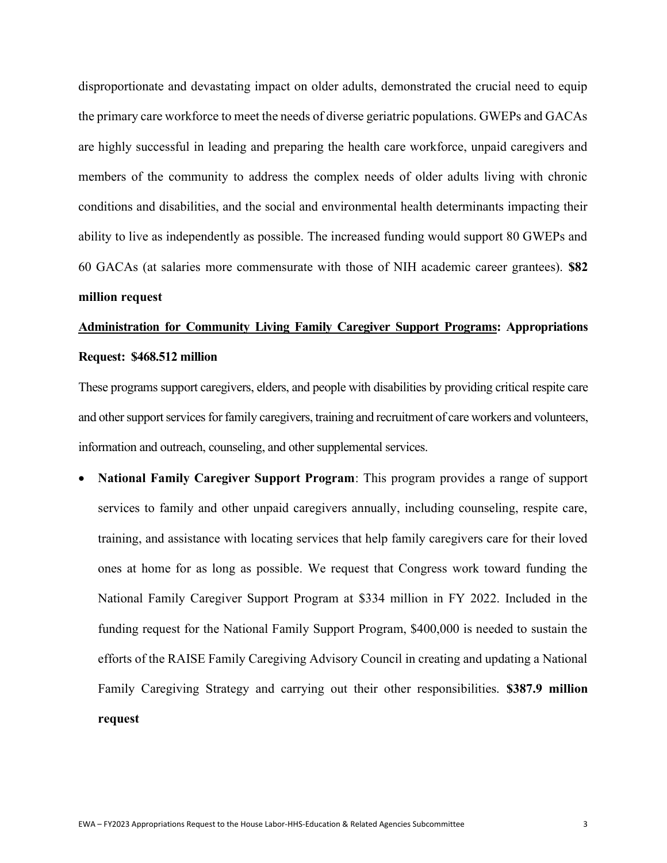disproportionate and devastating impact on older adults, demonstrated the crucial need to equip the primary care workforce to meet the needs of diverse geriatric populations. GWEPs and GACAs are highly successful in leading and preparing the health care workforce, unpaid caregivers and members of the community to address the complex needs of older adults living with chronic conditions and disabilities, and the social and environmental health determinants impacting their ability to live as independently as possible. The increased funding would support 80 GWEPs and 60 GACAs (at salaries more commensurate with those of NIH academic career grantees). \$82 million request

# Administration for Community Living Family Caregiver Support Programs: Appropriations Request: \$468.512 million

These programs support caregivers, elders, and people with disabilities by providing critical respite care and other support services for family caregivers, training and recruitment of care workers and volunteers, information and outreach, counseling, and other supplemental services.

 National Family Caregiver Support Program: This program provides a range of support services to family and other unpaid caregivers annually, including counseling, respite care, training, and assistance with locating services that help family caregivers care for their loved ones at home for as long as possible. We request that Congress work toward funding the National Family Caregiver Support Program at \$334 million in FY 2022. Included in the funding request for the National Family Support Program, \$400,000 is needed to sustain the efforts of the RAISE Family Caregiving Advisory Council in creating and updating a National Family Caregiving Strategy and carrying out their other responsibilities. \$387.9 million request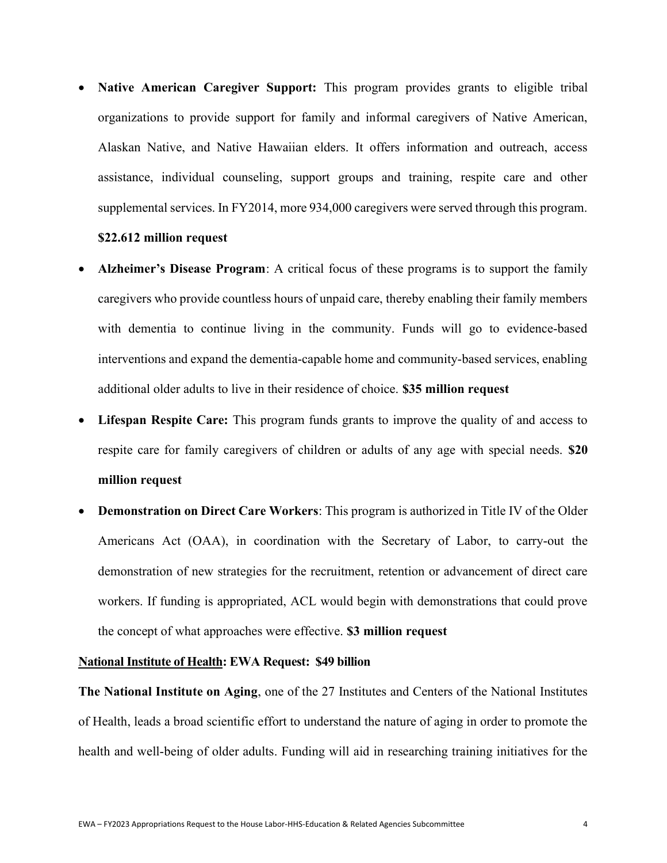• Native American Caregiver Support: This program provides grants to eligible tribal organizations to provide support for family and informal caregivers of Native American, Alaskan Native, and Native Hawaiian elders. It offers information and outreach, access assistance, individual counseling, support groups and training, respite care and other supplemental services. In FY2014, more 934,000 caregivers were served through this program.

## \$22.612 million request

- Alzheimer's Disease Program: A critical focus of these programs is to support the family caregivers who provide countless hours of unpaid care, thereby enabling their family members with dementia to continue living in the community. Funds will go to evidence-based interventions and expand the dementia-capable home and community-based services, enabling additional older adults to live in their residence of choice. \$35 million request
- Lifespan Respite Care: This program funds grants to improve the quality of and access to respite care for family caregivers of children or adults of any age with special needs. \$20 million request
- Demonstration on Direct Care Workers: This program is authorized in Title IV of the Older Americans Act (OAA), in coordination with the Secretary of Labor, to carry-out the demonstration of new strategies for the recruitment, retention or advancement of direct care workers. If funding is appropriated, ACL would begin with demonstrations that could prove the concept of what approaches were effective. \$3 million request

## National Institute of Health: EWA Request: \$49 billion

The National Institute on Aging, one of the 27 Institutes and Centers of the National Institutes of Health, leads a broad scientific effort to understand the nature of aging in order to promote the health and well-being of older adults. Funding will aid in researching training initiatives for the